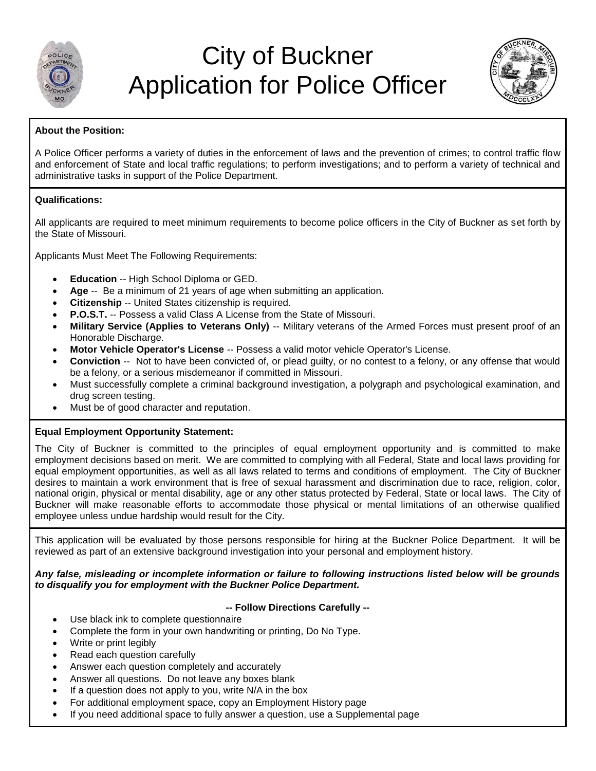

# City of Buckner Application for Police Officer



#### **About the Position:**

A Police Officer performs a variety of duties in the enforcement of laws and the prevention of crimes; to control traffic flow and enforcement of State and local traffic regulations; to perform investigations; and to perform a variety of technical and administrative tasks in support of the Police Department.

#### **Qualifications:**

All applicants are required to meet minimum requirements to become police officers in the City of Buckner as set forth by the State of Missouri.

Applicants Must Meet The Following Requirements:

- **Education** -- High School Diploma or GED.
- **Age** -- Be a minimum of 21 years of age when submitting an application.
- **Citizenship** -- United States citizenship is required.
- **P.O.S.T.** -- Possess a valid Class A License from the State of Missouri.
- **Military Service (Applies to Veterans Only)** -- Military veterans of the Armed Forces must present proof of an Honorable Discharge.
- **Motor Vehicle Operator's License** -- Possess a valid motor vehicle Operator's License.
- **Conviction** -- Not to have been convicted of, or plead guilty, or no contest to a felony, or any offense that would be a felony, or a serious misdemeanor if committed in Missouri.
- Must successfully complete a criminal background investigation, a polygraph and psychological examination, and drug screen testing.
- Must be of good character and reputation.

#### **Equal Employment Opportunity Statement:**

The City of Buckner is committed to the principles of equal employment opportunity and is committed to make employment decisions based on merit. We are committed to complying with all Federal, State and local laws providing for equal employment opportunities, as well as all laws related to terms and conditions of employment. The City of Buckner desires to maintain a work environment that is free of sexual harassment and discrimination due to race, religion, color, national origin, physical or mental disability, age or any other status protected by Federal, State or local laws. The City of Buckner will make reasonable efforts to accommodate those physical or mental limitations of an otherwise qualified employee unless undue hardship would result for the City.

This application will be evaluated by those persons responsible for hiring at the Buckner Police Department. It will be reviewed as part of an extensive background investigation into your personal and employment history.

#### *Any false, misleading or incomplete information or failure to following instructions listed below will be grounds to disqualify you for employment with the Buckner Police Department.*

#### **-- Follow Directions Carefully --**

- Use black ink to complete questionnaire
- Complete the form in your own handwriting or printing, Do No Type.
- Write or print legibly
- Read each question carefully
- Answer each question completely and accurately
- Answer all questions. Do not leave any boxes blank
- If a question does not apply to you, write N/A in the box
- For additional employment space, copy an Employment History page
- If you need additional space to fully answer a question, use a Supplemental page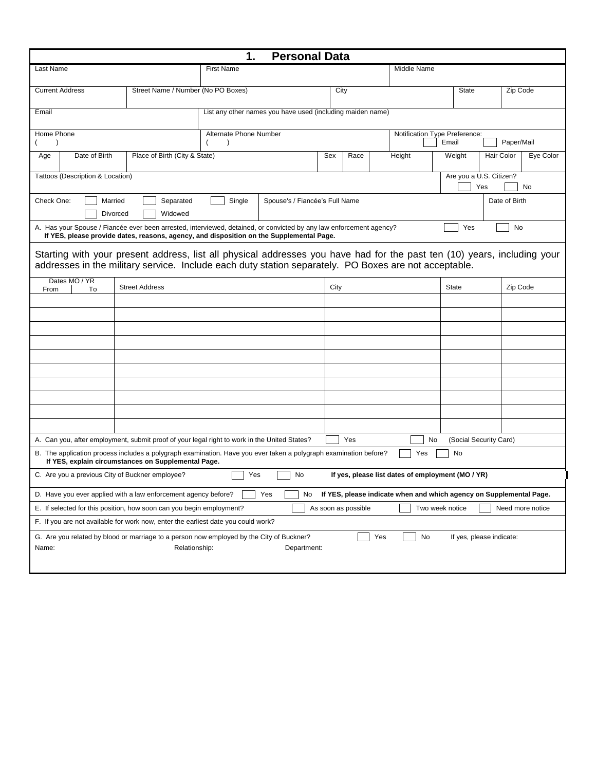|                                                                                   |                                                                  | 1.<br><b>Personal Data</b>                                                                                                                                                                                                        |  |                     |                                                                     |                   |                                |                  |
|-----------------------------------------------------------------------------------|------------------------------------------------------------------|-----------------------------------------------------------------------------------------------------------------------------------------------------------------------------------------------------------------------------------|--|---------------------|---------------------------------------------------------------------|-------------------|--------------------------------|------------------|
| Last Name                                                                         |                                                                  | <b>First Name</b>                                                                                                                                                                                                                 |  |                     | Middle Name                                                         |                   |                                |                  |
| <b>Current Address</b>                                                            | Street Name / Number (No PO Boxes)                               |                                                                                                                                                                                                                                   |  | City                |                                                                     | <b>State</b>      |                                | Zip Code         |
| Email                                                                             |                                                                  | List any other names you have used (including maiden name)                                                                                                                                                                        |  |                     |                                                                     |                   |                                |                  |
| Home Phone                                                                        |                                                                  | Alternate Phone Number<br>Notification Type Preference:<br>Email<br>$\lambda$                                                                                                                                                     |  |                     |                                                                     |                   | Paper/Mail                     |                  |
| Date of Birth<br>Age                                                              | Place of Birth (City & State)<br>Sex<br>Race<br>Height<br>Weight |                                                                                                                                                                                                                                   |  |                     |                                                                     | <b>Hair Color</b> | Eye Color                      |                  |
| Tattoos (Description & Location)                                                  |                                                                  |                                                                                                                                                                                                                                   |  |                     |                                                                     |                   | Are you a U.S. Citizen?<br>Yes | No               |
| Check One:<br>Married<br>Divorced                                                 | Separated<br>Widowed                                             | Single<br>Spouse's / Fiancée's Full Name                                                                                                                                                                                          |  |                     |                                                                     |                   | Date of Birth                  |                  |
|                                                                                   |                                                                  | A. Has your Spouse / Fiancée ever been arrested, interviewed, detained, or convicted by any law enforcement agency?<br>If YES, please provide dates, reasons, agency, and disposition on the Supplemental Page.                   |  |                     |                                                                     | Yes               |                                | No               |
|                                                                                   |                                                                  | Starting with your present address, list all physical addresses you have had for the past ten (10) years, including your<br>addresses in the military service. Include each duty station separately. PO Boxes are not acceptable. |  |                     |                                                                     |                   |                                |                  |
| Dates MO / YR<br>To<br>From                                                       | <b>Street Address</b>                                            |                                                                                                                                                                                                                                   |  | City                |                                                                     | <b>State</b>      |                                | Zip Code         |
|                                                                                   |                                                                  |                                                                                                                                                                                                                                   |  |                     |                                                                     |                   |                                |                  |
|                                                                                   |                                                                  |                                                                                                                                                                                                                                   |  |                     |                                                                     |                   |                                |                  |
|                                                                                   |                                                                  |                                                                                                                                                                                                                                   |  |                     |                                                                     |                   |                                |                  |
|                                                                                   |                                                                  |                                                                                                                                                                                                                                   |  |                     |                                                                     |                   |                                |                  |
|                                                                                   |                                                                  |                                                                                                                                                                                                                                   |  |                     |                                                                     |                   |                                |                  |
|                                                                                   |                                                                  |                                                                                                                                                                                                                                   |  |                     |                                                                     |                   |                                |                  |
|                                                                                   |                                                                  |                                                                                                                                                                                                                                   |  |                     |                                                                     |                   |                                |                  |
|                                                                                   |                                                                  |                                                                                                                                                                                                                                   |  |                     |                                                                     |                   |                                |                  |
|                                                                                   |                                                                  | A. Can you, after employment, submit proof of your legal right to work in the United States?                                                                                                                                      |  | Yes                 | No                                                                  |                   | (Social Security Card)         |                  |
|                                                                                   | If YES, explain circumstances on Supplemental Page.              | B. The application process includes a polygraph examination. Have you ever taken a polygraph examination before?                                                                                                                  |  |                     | Yes                                                                 | No                |                                |                  |
| C. Are you a previous City of Buckner employee?                                   |                                                                  | Yes<br>No                                                                                                                                                                                                                         |  |                     | If yes, please list dates of employment (MO / YR)                   |                   |                                |                  |
| D. Have you ever applied with a law enforcement agency before?                    |                                                                  | Yes<br>No                                                                                                                                                                                                                         |  |                     | If YES, please indicate when and which agency on Supplemental Page. |                   |                                |                  |
| E. If selected for this position, how soon can you begin employment?              |                                                                  |                                                                                                                                                                                                                                   |  | As soon as possible |                                                                     | Two week notice   |                                | Need more notice |
| F. If you are not available for work now, enter the earliest date you could work? |                                                                  |                                                                                                                                                                                                                                   |  |                     |                                                                     |                   |                                |                  |
| Name:                                                                             | Relationship:                                                    | G. Are you related by blood or marriage to a person now employed by the City of Buckner?<br>Department:                                                                                                                           |  |                     | Yes<br>No                                                           |                   | If yes, please indicate:       |                  |
|                                                                                   |                                                                  |                                                                                                                                                                                                                                   |  |                     |                                                                     |                   |                                |                  |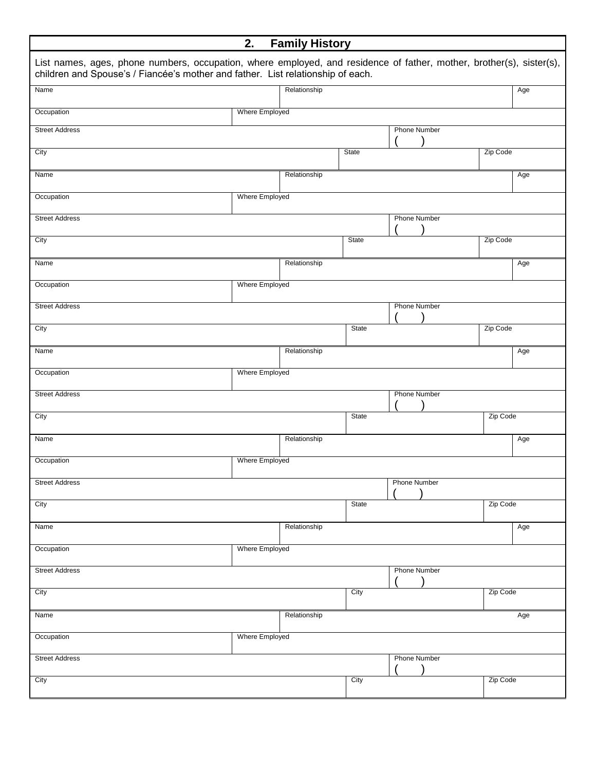|                                                                                                                                                                                                         | 2.             | <b>Family History</b> |              |                     |          |     |
|---------------------------------------------------------------------------------------------------------------------------------------------------------------------------------------------------------|----------------|-----------------------|--------------|---------------------|----------|-----|
| List names, ages, phone numbers, occupation, where employed, and residence of father, mother, brother(s), sister(s),<br>children and Spouse's / Fiancée's mother and father. List relationship of each. |                |                       |              |                     |          |     |
| Name                                                                                                                                                                                                    |                | Relationship          |              |                     |          | Age |
| Occupation                                                                                                                                                                                              | Where Employed |                       |              |                     |          |     |
| <b>Street Address</b>                                                                                                                                                                                   |                |                       |              | <b>Phone Number</b> |          |     |
| City                                                                                                                                                                                                    |                |                       | State        |                     | Zip Code |     |
| Name                                                                                                                                                                                                    |                | Relationship          |              |                     |          | Age |
| Occupation                                                                                                                                                                                              | Where Employed |                       |              |                     |          |     |
| <b>Street Address</b>                                                                                                                                                                                   |                |                       |              | <b>Phone Number</b> |          |     |
| City                                                                                                                                                                                                    |                |                       | State        |                     | Zip Code |     |
| Name                                                                                                                                                                                                    |                | Relationship          |              |                     |          | Age |
| Occupation                                                                                                                                                                                              | Where Employed |                       |              |                     |          |     |
| <b>Street Address</b>                                                                                                                                                                                   |                |                       |              | <b>Phone Number</b> |          |     |
| City                                                                                                                                                                                                    |                |                       | <b>State</b> |                     | Zip Code |     |
| Name                                                                                                                                                                                                    |                | Relationship          |              |                     |          | Age |
| Occupation                                                                                                                                                                                              | Where Employed |                       |              |                     |          |     |
| <b>Street Address</b>                                                                                                                                                                                   |                |                       |              | <b>Phone Number</b> |          |     |
| City                                                                                                                                                                                                    |                |                       | State        |                     | Zip Code |     |
| Name                                                                                                                                                                                                    |                | Relationship          |              |                     |          | Age |
| Occupation                                                                                                                                                                                              | Where Employed |                       |              |                     |          |     |
| <b>Street Address</b>                                                                                                                                                                                   |                |                       |              | <b>Phone Number</b> |          |     |
| City                                                                                                                                                                                                    |                |                       | State        |                     | Zip Code |     |
| Name                                                                                                                                                                                                    |                | Relationship          |              |                     |          | Age |
| Occupation                                                                                                                                                                                              | Where Employed |                       |              |                     |          |     |
| <b>Street Address</b>                                                                                                                                                                                   |                |                       |              | <b>Phone Number</b> |          |     |
| City                                                                                                                                                                                                    |                |                       | City         |                     | Zip Code |     |
| Name                                                                                                                                                                                                    |                | Relationship          |              |                     |          | Age |
| Occupation                                                                                                                                                                                              | Where Employed |                       |              |                     |          |     |
| <b>Street Address</b>                                                                                                                                                                                   |                |                       |              | <b>Phone Number</b> |          |     |
| City                                                                                                                                                                                                    |                |                       | City         |                     | Zip Code |     |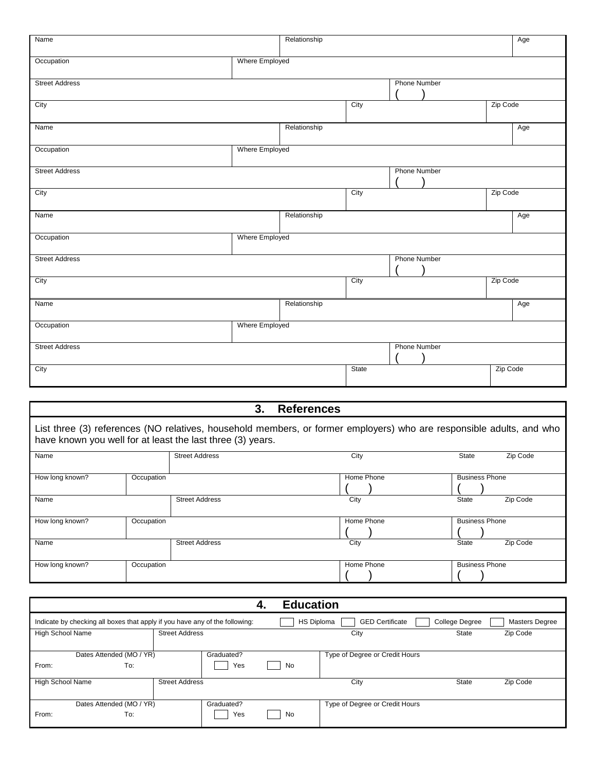| Name                  |                | Relationship |       |                     |          | Age |
|-----------------------|----------------|--------------|-------|---------------------|----------|-----|
| Occupation            | Where Employed |              |       |                     |          |     |
| <b>Street Address</b> |                |              |       | <b>Phone Number</b> |          |     |
| City                  |                |              | City  |                     | Zip Code |     |
| Name                  |                | Relationship |       |                     |          | Age |
| Occupation            | Where Employed |              |       |                     |          |     |
| <b>Street Address</b> |                |              |       | <b>Phone Number</b> |          |     |
| City                  |                |              | City  |                     | Zip Code |     |
| Name                  |                | Relationship |       |                     |          | Age |
| Occupation            | Where Employed |              |       |                     |          |     |
| <b>Street Address</b> |                |              |       | <b>Phone Number</b> |          |     |
| City                  |                |              | City  |                     | Zip Code |     |
| Name                  |                | Relationship |       |                     |          | Age |
| Occupation            | Where Employed |              |       |                     |          |     |
| <b>Street Address</b> |                |              |       | <b>Phone Number</b> |          |     |
| City                  |                |              | State |                     | Zip Code |     |

|                                                                                                                                                                                    |            | 3.                    | <b>References</b> |                          |  |  |  |
|------------------------------------------------------------------------------------------------------------------------------------------------------------------------------------|------------|-----------------------|-------------------|--------------------------|--|--|--|
| List three (3) references (NO relatives, household members, or former employers) who are responsible adults, and who<br>have known you well for at least the last three (3) years. |            |                       |                   |                          |  |  |  |
| Name                                                                                                                                                                               |            | <b>Street Address</b> | City              | <b>State</b><br>Zip Code |  |  |  |
| How long known?                                                                                                                                                                    | Occupation |                       | Home Phone        | <b>Business Phone</b>    |  |  |  |
| Name                                                                                                                                                                               |            | <b>Street Address</b> | City              | Zip Code<br><b>State</b> |  |  |  |
| How long known?                                                                                                                                                                    | Occupation |                       | Home Phone        | <b>Business Phone</b>    |  |  |  |
| Name                                                                                                                                                                               |            | <b>Street Address</b> | City              | State<br>Zip Code        |  |  |  |
| How long known?                                                                                                                                                                    | Occupation |                       | Home Phone        | <b>Business Phone</b>    |  |  |  |

|                         |                                                                             |            | <b>Education</b><br>4. |                                |                |                |
|-------------------------|-----------------------------------------------------------------------------|------------|------------------------|--------------------------------|----------------|----------------|
|                         | Indicate by checking all boxes that apply if you have any of the following: |            | HS Diploma             | <b>GED Certificate</b>         | College Degree | Masters Degree |
| <b>High School Name</b> | <b>Street Address</b>                                                       |            |                        | City                           | State          | Zip Code       |
|                         |                                                                             |            |                        |                                |                |                |
|                         | Dates Attended (MO / YR)                                                    | Graduated? |                        | Type of Degree or Credit Hours |                |                |
| From:                   | To:                                                                         | Yes        | No                     |                                |                |                |
| <b>High School Name</b> | <b>Street Address</b>                                                       |            |                        | City                           | <b>State</b>   | Zip Code       |
|                         |                                                                             |            |                        |                                |                |                |
|                         | Dates Attended (MO / YR)                                                    | Graduated? |                        | Type of Degree or Credit Hours |                |                |
| From:                   | To:                                                                         | Yes        | No                     |                                |                |                |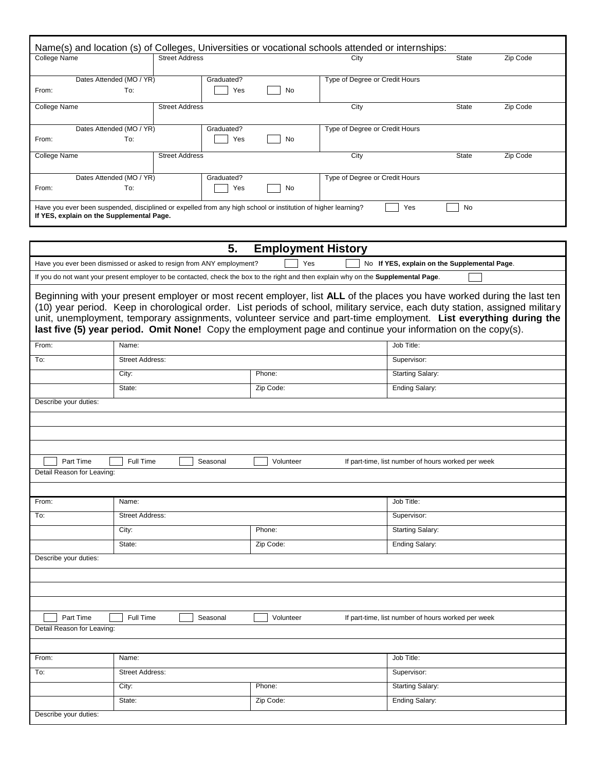| College Name |                                                                                                               | <b>Street Address</b> |            |           | City                           | State | Zip Code |
|--------------|---------------------------------------------------------------------------------------------------------------|-----------------------|------------|-----------|--------------------------------|-------|----------|
|              | Dates Attended (MO / YR)                                                                                      |                       | Graduated? |           | Type of Degree or Credit Hours |       |          |
| From:        | To:                                                                                                           |                       | Yes        | No        |                                |       |          |
| College Name |                                                                                                               | <b>Street Address</b> |            |           | City                           | State | Zip Code |
|              | Dates Attended (MO / YR)                                                                                      |                       | Graduated? |           | Type of Degree or Credit Hours |       |          |
| From:        | To:                                                                                                           |                       | Yes        | <b>No</b> |                                |       |          |
| College Name |                                                                                                               | <b>Street Address</b> |            |           | City                           | State | Zip Code |
|              | Dates Attended (MO / YR)                                                                                      |                       | Graduated? |           | Type of Degree or Credit Hours |       |          |
| From:        | To:                                                                                                           |                       | Yes        | <b>No</b> |                                |       |          |
|              | Have you ever been suspended, disciplined or expelled from any high school or institution of higher learning? |                       |            |           | Yes                            | No    |          |
|              | If YES, explain on the Supplemental Page.                                                                     |                       |            |           |                                |       |          |

|                            | 5.                                                                                                                                  | <b>Employment History</b> |                                                                                                                                                                                                                                                                                                                                                                                                                                                                                               |
|----------------------------|-------------------------------------------------------------------------------------------------------------------------------------|---------------------------|-----------------------------------------------------------------------------------------------------------------------------------------------------------------------------------------------------------------------------------------------------------------------------------------------------------------------------------------------------------------------------------------------------------------------------------------------------------------------------------------------|
|                            | Have you ever been dismissed or asked to resign from ANY employment?                                                                | Yes                       | No If YES, explain on the Supplemental Page.                                                                                                                                                                                                                                                                                                                                                                                                                                                  |
|                            | If you do not want your present employer to be contacted, check the box to the right and then explain why on the Supplemental Page. |                           |                                                                                                                                                                                                                                                                                                                                                                                                                                                                                               |
|                            |                                                                                                                                     |                           | Beginning with your present employer or most recent employer, list ALL of the places you have worked during the last ten<br>(10) year period. Keep in chorological order. List periods of school, military service, each duty station, assigned military<br>unit, unemployment, temporary assignments, volunteer service and part-time employment. List everything during the<br>last five (5) year period. Omit None! Copy the employment page and continue your information on the copy(s). |
| From:                      | Name:                                                                                                                               |                           | Job Title:                                                                                                                                                                                                                                                                                                                                                                                                                                                                                    |
| To:                        | <b>Street Address:</b>                                                                                                              |                           | Supervisor:                                                                                                                                                                                                                                                                                                                                                                                                                                                                                   |
|                            | City:                                                                                                                               | Phone:                    | <b>Starting Salary:</b>                                                                                                                                                                                                                                                                                                                                                                                                                                                                       |
|                            | State:                                                                                                                              | Zip Code:                 | Ending Salary:                                                                                                                                                                                                                                                                                                                                                                                                                                                                                |
| Describe your duties:      |                                                                                                                                     |                           |                                                                                                                                                                                                                                                                                                                                                                                                                                                                                               |
|                            |                                                                                                                                     |                           |                                                                                                                                                                                                                                                                                                                                                                                                                                                                                               |
|                            |                                                                                                                                     |                           |                                                                                                                                                                                                                                                                                                                                                                                                                                                                                               |
|                            |                                                                                                                                     |                           |                                                                                                                                                                                                                                                                                                                                                                                                                                                                                               |
| Part Time                  | Full Time<br>Seasonal                                                                                                               | Volunteer                 | If part-time, list number of hours worked per week                                                                                                                                                                                                                                                                                                                                                                                                                                            |
| Detail Reason for Leaving: |                                                                                                                                     |                           |                                                                                                                                                                                                                                                                                                                                                                                                                                                                                               |
|                            |                                                                                                                                     |                           |                                                                                                                                                                                                                                                                                                                                                                                                                                                                                               |
| From:                      | Name:                                                                                                                               |                           | Job Title:                                                                                                                                                                                                                                                                                                                                                                                                                                                                                    |
| To:                        | <b>Street Address:</b>                                                                                                              |                           | Supervisor:                                                                                                                                                                                                                                                                                                                                                                                                                                                                                   |
|                            | City:                                                                                                                               | Phone:                    | <b>Starting Salary:</b>                                                                                                                                                                                                                                                                                                                                                                                                                                                                       |
|                            | State:                                                                                                                              | Zip Code:                 | Ending Salary:                                                                                                                                                                                                                                                                                                                                                                                                                                                                                |
| Describe your duties:      |                                                                                                                                     |                           |                                                                                                                                                                                                                                                                                                                                                                                                                                                                                               |
|                            |                                                                                                                                     |                           |                                                                                                                                                                                                                                                                                                                                                                                                                                                                                               |
|                            |                                                                                                                                     |                           |                                                                                                                                                                                                                                                                                                                                                                                                                                                                                               |
|                            |                                                                                                                                     |                           |                                                                                                                                                                                                                                                                                                                                                                                                                                                                                               |
| Part Time                  | Full Time<br>Seasonal                                                                                                               | Volunteer                 | If part-time, list number of hours worked per week                                                                                                                                                                                                                                                                                                                                                                                                                                            |
| Detail Reason for Leaving: |                                                                                                                                     |                           |                                                                                                                                                                                                                                                                                                                                                                                                                                                                                               |
|                            |                                                                                                                                     |                           |                                                                                                                                                                                                                                                                                                                                                                                                                                                                                               |
| From:                      | Name:                                                                                                                               |                           | Job Title:                                                                                                                                                                                                                                                                                                                                                                                                                                                                                    |
| To:                        | <b>Street Address:</b>                                                                                                              |                           | Supervisor:                                                                                                                                                                                                                                                                                                                                                                                                                                                                                   |
|                            | City:                                                                                                                               | Phone:                    | <b>Starting Salary:</b>                                                                                                                                                                                                                                                                                                                                                                                                                                                                       |
|                            | State:                                                                                                                              | Zip Code:                 | Ending Salary:                                                                                                                                                                                                                                                                                                                                                                                                                                                                                |
| Describe your duties:      |                                                                                                                                     |                           |                                                                                                                                                                                                                                                                                                                                                                                                                                                                                               |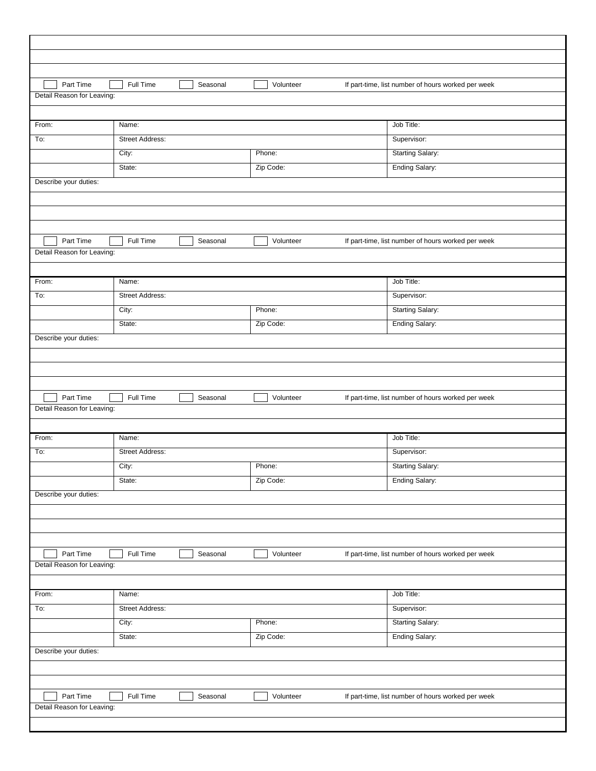| Part Time                                                                                                                                  | Full Time              | Seasonal | Volunteer | If part-time, list number of hours worked per week |  |
|--------------------------------------------------------------------------------------------------------------------------------------------|------------------------|----------|-----------|----------------------------------------------------|--|
| Detail Reason for Leaving:                                                                                                                 |                        |          |           |                                                    |  |
|                                                                                                                                            |                        |          |           |                                                    |  |
| From:                                                                                                                                      | Name:                  |          |           | Job Title:                                         |  |
| To:                                                                                                                                        | Street Address:        |          |           | Supervisor:                                        |  |
|                                                                                                                                            | City:                  |          | Phone:    | <b>Starting Salary:</b>                            |  |
|                                                                                                                                            | State:                 |          | Zip Code: | <b>Ending Salary:</b>                              |  |
| Describe your duties:                                                                                                                      |                        |          |           |                                                    |  |
|                                                                                                                                            |                        |          |           |                                                    |  |
|                                                                                                                                            |                        |          |           |                                                    |  |
|                                                                                                                                            |                        |          |           |                                                    |  |
| Part Time                                                                                                                                  | Full Time              | Seasonal | Volunteer | If part-time, list number of hours worked per week |  |
| Detail Reason for Leaving:                                                                                                                 |                        |          |           |                                                    |  |
|                                                                                                                                            |                        |          |           |                                                    |  |
| From:                                                                                                                                      | Name:                  |          |           | Job Title:                                         |  |
| To:                                                                                                                                        | <b>Street Address:</b> |          |           | Supervisor:                                        |  |
|                                                                                                                                            | City:                  |          | Phone:    | <b>Starting Salary:</b>                            |  |
|                                                                                                                                            | State:                 |          | Zip Code: | <b>Ending Salary:</b>                              |  |
| Describe your duties:                                                                                                                      |                        |          |           |                                                    |  |
| Part Time                                                                                                                                  | Full Time              | Seasonal | Volunteer | If part-time, list number of hours worked per week |  |
|                                                                                                                                            |                        |          |           |                                                    |  |
|                                                                                                                                            |                        |          |           |                                                    |  |
|                                                                                                                                            | Name:                  |          |           | Job Title:                                         |  |
|                                                                                                                                            | <b>Street Address:</b> |          |           | Supervisor:                                        |  |
|                                                                                                                                            | City:                  |          | Phone:    | Starting Salary:                                   |  |
|                                                                                                                                            | State:                 |          | Zip Code: | <b>Ending Salary:</b>                              |  |
|                                                                                                                                            |                        |          |           |                                                    |  |
|                                                                                                                                            |                        |          |           |                                                    |  |
|                                                                                                                                            |                        |          |           |                                                    |  |
|                                                                                                                                            |                        |          |           |                                                    |  |
| Part Time                                                                                                                                  | Full Time              | Seasonal | Volunteer | If part-time, list number of hours worked per week |  |
|                                                                                                                                            |                        |          |           |                                                    |  |
|                                                                                                                                            |                        |          |           |                                                    |  |
|                                                                                                                                            | Name:                  |          |           | Job Title:                                         |  |
|                                                                                                                                            | Street Address:        |          |           | Supervisor:                                        |  |
|                                                                                                                                            | City:                  |          | Phone:    | <b>Starting Salary:</b>                            |  |
|                                                                                                                                            | State:                 |          | Zip Code: | <b>Ending Salary:</b>                              |  |
|                                                                                                                                            |                        |          |           |                                                    |  |
| Detail Reason for Leaving:<br>From:<br>To:<br>Describe your duties:<br>Detail Reason for Leaving:<br>From:<br>To:<br>Describe your duties: |                        |          |           |                                                    |  |
|                                                                                                                                            |                        |          |           |                                                    |  |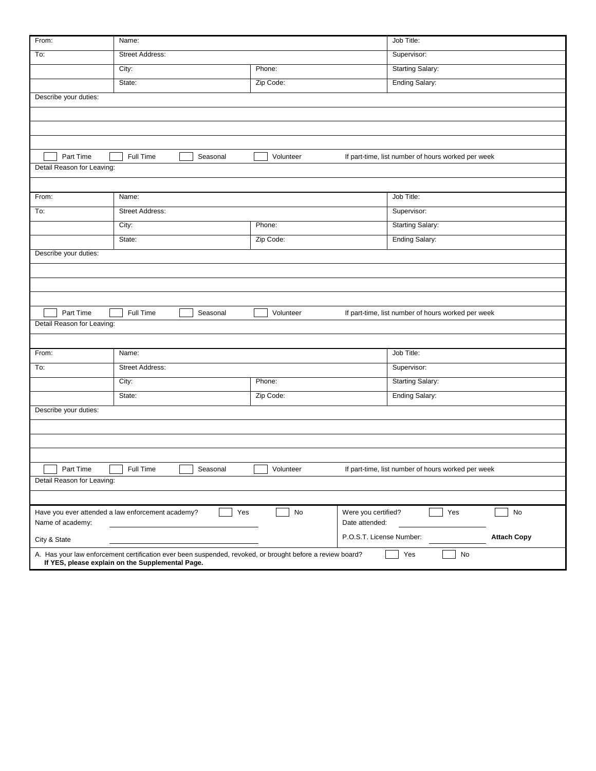| From:                      | Name:                                                                                                                                                         |           | Job Title:                                         |                    |
|----------------------------|---------------------------------------------------------------------------------------------------------------------------------------------------------------|-----------|----------------------------------------------------|--------------------|
| To:                        | <b>Street Address:</b>                                                                                                                                        |           | Supervisor:                                        |                    |
|                            | City:                                                                                                                                                         | Phone:    | <b>Starting Salary:</b>                            |                    |
|                            | State:                                                                                                                                                        | Zip Code: | <b>Ending Salary:</b>                              |                    |
| Describe your duties:      |                                                                                                                                                               |           |                                                    |                    |
|                            |                                                                                                                                                               |           |                                                    |                    |
|                            |                                                                                                                                                               |           |                                                    |                    |
|                            |                                                                                                                                                               |           |                                                    |                    |
| Part Time                  | Full Time<br>Seasonal                                                                                                                                         | Volunteer | If part-time, list number of hours worked per week |                    |
| Detail Reason for Leaving: |                                                                                                                                                               |           |                                                    |                    |
|                            |                                                                                                                                                               |           |                                                    |                    |
| From:                      | Name:                                                                                                                                                         |           | Job Title:                                         |                    |
| To:                        | <b>Street Address:</b>                                                                                                                                        |           | Supervisor:                                        |                    |
|                            | City:                                                                                                                                                         | Phone:    | Starting Salary:                                   |                    |
|                            | State:                                                                                                                                                        | Zip Code: | <b>Ending Salary:</b>                              |                    |
| Describe your duties:      |                                                                                                                                                               |           |                                                    |                    |
|                            |                                                                                                                                                               |           |                                                    |                    |
|                            |                                                                                                                                                               |           |                                                    |                    |
|                            |                                                                                                                                                               |           |                                                    |                    |
| Part Time                  | Full Time<br>Seasonal                                                                                                                                         | Volunteer | If part-time, list number of hours worked per week |                    |
| Detail Reason for Leaving: |                                                                                                                                                               |           |                                                    |                    |
|                            |                                                                                                                                                               |           |                                                    |                    |
| From:                      | Name:                                                                                                                                                         |           | Job Title:                                         |                    |
| To:                        | Street Address:                                                                                                                                               |           | Supervisor:                                        |                    |
|                            | City:                                                                                                                                                         | Phone:    | <b>Starting Salary:</b>                            |                    |
|                            | State:                                                                                                                                                        | Zip Code: | Ending Salary:                                     |                    |
| Describe your duties:      |                                                                                                                                                               |           |                                                    |                    |
|                            |                                                                                                                                                               |           |                                                    |                    |
|                            |                                                                                                                                                               |           |                                                    |                    |
|                            |                                                                                                                                                               |           |                                                    |                    |
| Part Time                  | Full Time<br>Seasonal                                                                                                                                         | Volunteer | If part-time, list number of hours worked per week |                    |
| Detail Reason for Leaving: |                                                                                                                                                               |           |                                                    |                    |
|                            |                                                                                                                                                               |           |                                                    |                    |
| Name of academy:           | Yes<br>Have you ever attended a law enforcement academy?                                                                                                      | No        | Yes<br>Were you certified?<br>Date attended:       | $\mathsf{No}$      |
| City & State               |                                                                                                                                                               |           | P.O.S.T. License Number:                           | <b>Attach Copy</b> |
|                            | A. Has your law enforcement certification ever been suspended, revoked, or brought before a review board?<br>If YES, please explain on the Supplemental Page. |           | No<br>Yes                                          |                    |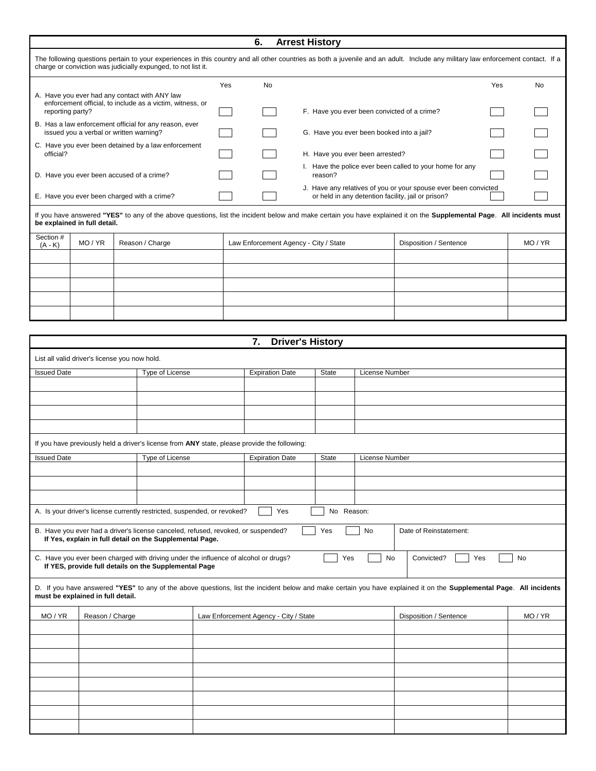|                                                                                                                                | Yes | <b>No</b> |                                                                                                                       | Yes | No |
|--------------------------------------------------------------------------------------------------------------------------------|-----|-----------|-----------------------------------------------------------------------------------------------------------------------|-----|----|
| A. Have you ever had any contact with ANY law<br>enforcement official, to include as a victim, witness, or<br>reporting party? |     |           | F. Have you ever been convicted of a crime?                                                                           |     |    |
| B. Has a law enforcement official for any reason, ever<br>issued you a verbal or written warning?                              |     |           | G. Have you ever been booked into a jail?                                                                             |     |    |
| C. Have you ever been detained by a law enforcement<br>official?                                                               |     |           | H. Have you ever been arrested?                                                                                       |     |    |
| D. Have you ever been accused of a crime?                                                                                      |     |           | I. Have the police ever been called to your home for any<br>reason?                                                   |     |    |
| E. Have you ever been charged with a crime?                                                                                    |     |           | J. Have any relatives of you or your spouse ever been convicted<br>or held in any detention facility, jail or prison? |     |    |

| Section # $(A - K)$ | MO / YR | Reason / Charge | Law Enforcement Agency - City / State | Disposition / Sentence | MO/YR |
|---------------------|---------|-----------------|---------------------------------------|------------------------|-------|
|                     |         |                 |                                       |                        |       |
|                     |         |                 |                                       |                        |       |
|                     |         |                 |                                       |                        |       |
|                     |         |                 |                                       |                        |       |
|                     |         |                 |                                       |                        |       |

|                    |                                                                                                                                               |                 | 7.<br><b>Driver's History</b>         |              |                       |                                                                                                                                                                     |       |
|--------------------|-----------------------------------------------------------------------------------------------------------------------------------------------|-----------------|---------------------------------------|--------------|-----------------------|---------------------------------------------------------------------------------------------------------------------------------------------------------------------|-------|
|                    | List all valid driver's license you now hold.                                                                                                 |                 |                                       |              |                       |                                                                                                                                                                     |       |
| <b>Issued Date</b> |                                                                                                                                               | Type of License | <b>Expiration Date</b>                | <b>State</b> | License Number        |                                                                                                                                                                     |       |
|                    |                                                                                                                                               |                 |                                       |              |                       |                                                                                                                                                                     |       |
|                    |                                                                                                                                               |                 |                                       |              |                       |                                                                                                                                                                     |       |
|                    |                                                                                                                                               |                 |                                       |              |                       |                                                                                                                                                                     |       |
|                    |                                                                                                                                               |                 |                                       |              |                       |                                                                                                                                                                     |       |
|                    | If you have previously held a driver's license from ANY state, please provide the following:                                                  |                 |                                       |              |                       |                                                                                                                                                                     |       |
| <b>Issued Date</b> |                                                                                                                                               | Type of License | <b>Expiration Date</b>                | <b>State</b> | <b>License Number</b> |                                                                                                                                                                     |       |
|                    |                                                                                                                                               |                 |                                       |              |                       |                                                                                                                                                                     |       |
|                    |                                                                                                                                               |                 |                                       |              |                       |                                                                                                                                                                     |       |
|                    |                                                                                                                                               |                 |                                       |              |                       |                                                                                                                                                                     |       |
|                    | A. Is your driver's license currently restricted, suspended, or revoked?                                                                      |                 | Yes                                   | No Reason:   |                       |                                                                                                                                                                     |       |
|                    | B. Have you ever had a driver's license canceled, refused, revoked, or suspended?<br>If Yes, explain in full detail on the Supplemental Page. |                 |                                       | Yes          | No                    | Date of Reinstatement:                                                                                                                                              |       |
|                    | C. Have you ever been charged with driving under the influence of alcohol or drugs?<br>If YES, provide full details on the Supplemental Page  |                 |                                       | Yes          | No                    | Convicted?<br>Yes                                                                                                                                                   | No    |
|                    | must be explained in full detail.                                                                                                             |                 |                                       |              |                       | D. If you have answered "YES" to any of the above questions, list the incident below and make certain you have explained it on the Supplemental Page. All incidents |       |
| MO/YR              | Reason / Charge                                                                                                                               |                 | Law Enforcement Agency - City / State |              |                       | Disposition / Sentence                                                                                                                                              | MO/YR |
|                    |                                                                                                                                               |                 |                                       |              |                       |                                                                                                                                                                     |       |
|                    |                                                                                                                                               |                 |                                       |              |                       |                                                                                                                                                                     |       |
|                    |                                                                                                                                               |                 |                                       |              |                       |                                                                                                                                                                     |       |
|                    |                                                                                                                                               |                 |                                       |              |                       |                                                                                                                                                                     |       |
|                    |                                                                                                                                               |                 |                                       |              |                       |                                                                                                                                                                     |       |
|                    |                                                                                                                                               |                 |                                       |              |                       |                                                                                                                                                                     |       |
|                    |                                                                                                                                               |                 |                                       |              |                       |                                                                                                                                                                     |       |
|                    |                                                                                                                                               |                 |                                       |              |                       |                                                                                                                                                                     |       |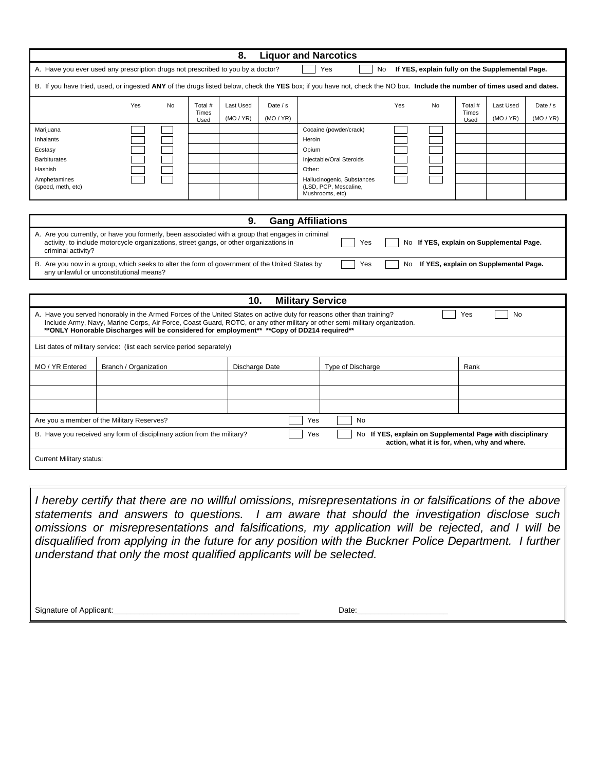| <b>Liquor and Narcotics</b><br>8.                                                                                                                                                                                                                                                                                                                                     |                                                                      |                            |                |                                          |                                                                                                                                                                                                                                                                                                                                                                                                                            |  |  |
|-----------------------------------------------------------------------------------------------------------------------------------------------------------------------------------------------------------------------------------------------------------------------------------------------------------------------------------------------------------------------|----------------------------------------------------------------------|----------------------------|----------------|------------------------------------------|----------------------------------------------------------------------------------------------------------------------------------------------------------------------------------------------------------------------------------------------------------------------------------------------------------------------------------------------------------------------------------------------------------------------------|--|--|
| A. Have you ever used any prescription drugs not prescribed to you by a doctor?<br>Yes<br>If YES, explain fully on the Supplemental Page.<br>No                                                                                                                                                                                                                       |                                                                      |                            |                |                                          |                                                                                                                                                                                                                                                                                                                                                                                                                            |  |  |
| B. If you have tried, used, or ingested ANY of the drugs listed below, check the YES box; if you have not, check the NO box. Include the number of times used and dates.                                                                                                                                                                                              |                                                                      |                            |                |                                          |                                                                                                                                                                                                                                                                                                                                                                                                                            |  |  |
|                                                                                                                                                                                                                                                                                                                                                                       | Yes<br>No                                                            | Total #<br>Last Used       | Date / s       | Yes                                      | Total #<br>Last Used<br>No<br>Date $/s$                                                                                                                                                                                                                                                                                                                                                                                    |  |  |
|                                                                                                                                                                                                                                                                                                                                                                       |                                                                      | Times<br>(MO / YR)<br>Used | (MO/YR)        |                                          | Times<br>(MO / YR)<br>(MO/YR)<br>Used                                                                                                                                                                                                                                                                                                                                                                                      |  |  |
| Marijuana                                                                                                                                                                                                                                                                                                                                                             |                                                                      |                            |                | Cocaine (powder/crack)                   |                                                                                                                                                                                                                                                                                                                                                                                                                            |  |  |
| Inhalants                                                                                                                                                                                                                                                                                                                                                             |                                                                      |                            |                | Heroin                                   |                                                                                                                                                                                                                                                                                                                                                                                                                            |  |  |
| Ecstasy                                                                                                                                                                                                                                                                                                                                                               |                                                                      |                            |                | Opium                                    |                                                                                                                                                                                                                                                                                                                                                                                                                            |  |  |
| <b>Barbiturates</b>                                                                                                                                                                                                                                                                                                                                                   |                                                                      |                            |                | Injectable/Oral Steroids                 |                                                                                                                                                                                                                                                                                                                                                                                                                            |  |  |
| Hashish<br>Amphetamines                                                                                                                                                                                                                                                                                                                                               |                                                                      |                            |                | Other:<br>Hallucinogenic, Substances     |                                                                                                                                                                                                                                                                                                                                                                                                                            |  |  |
| (speed, meth, etc)                                                                                                                                                                                                                                                                                                                                                    |                                                                      |                            |                | (LSD, PCP, Mescaline,<br>Mushrooms, etc) |                                                                                                                                                                                                                                                                                                                                                                                                                            |  |  |
|                                                                                                                                                                                                                                                                                                                                                                       |                                                                      |                            |                |                                          |                                                                                                                                                                                                                                                                                                                                                                                                                            |  |  |
| <b>Gang Affiliations</b><br>9.                                                                                                                                                                                                                                                                                                                                        |                                                                      |                            |                |                                          |                                                                                                                                                                                                                                                                                                                                                                                                                            |  |  |
| A. Are you currently, or have you formerly, been associated with a group that engages in criminal<br>No If YES, explain on Supplemental Page.<br>activity, to include motorcycle organizations, street gangs, or other organizations in<br>Yes<br>criminal activity?                                                                                                  |                                                                      |                            |                |                                          |                                                                                                                                                                                                                                                                                                                                                                                                                            |  |  |
| B. Are you now in a group, which seeks to alter the form of government of the United States by<br>Yes<br>No<br>If YES, explain on Supplemental Page.<br>any unlawful or unconstitutional means?                                                                                                                                                                       |                                                                      |                            |                |                                          |                                                                                                                                                                                                                                                                                                                                                                                                                            |  |  |
|                                                                                                                                                                                                                                                                                                                                                                       |                                                                      |                            |                |                                          |                                                                                                                                                                                                                                                                                                                                                                                                                            |  |  |
| 10.<br><b>Military Service</b>                                                                                                                                                                                                                                                                                                                                        |                                                                      |                            |                |                                          |                                                                                                                                                                                                                                                                                                                                                                                                                            |  |  |
| A. Have you served honorably in the Armed Forces of the United States on active duty for reasons other than training?<br>Yes<br><b>No</b><br>Include Army, Navy, Marine Corps, Air Force, Coast Guard, ROTC, or any other military or other semi-military organization.<br>**ONLY Honorable Discharges will be considered for employment** **Copy of DD214 required** |                                                                      |                            |                |                                          |                                                                                                                                                                                                                                                                                                                                                                                                                            |  |  |
| List dates of military service: (list each service period separately)                                                                                                                                                                                                                                                                                                 |                                                                      |                            |                |                                          |                                                                                                                                                                                                                                                                                                                                                                                                                            |  |  |
| MO / YR Entered                                                                                                                                                                                                                                                                                                                                                       | Branch / Organization                                                |                            | Discharge Date | Type of Discharge                        | Rank                                                                                                                                                                                                                                                                                                                                                                                                                       |  |  |
|                                                                                                                                                                                                                                                                                                                                                                       |                                                                      |                            |                |                                          |                                                                                                                                                                                                                                                                                                                                                                                                                            |  |  |
|                                                                                                                                                                                                                                                                                                                                                                       |                                                                      |                            |                |                                          |                                                                                                                                                                                                                                                                                                                                                                                                                            |  |  |
|                                                                                                                                                                                                                                                                                                                                                                       |                                                                      |                            |                |                                          |                                                                                                                                                                                                                                                                                                                                                                                                                            |  |  |
| Are you a member of the Military Reserves?<br>Yes<br><b>No</b>                                                                                                                                                                                                                                                                                                        |                                                                      |                            |                |                                          |                                                                                                                                                                                                                                                                                                                                                                                                                            |  |  |
| No If YES, explain on Supplemental Page with disciplinary<br>B. Have you received any form of disciplinary action from the military?<br>Yes<br>action, what it is for, when, why and where.                                                                                                                                                                           |                                                                      |                            |                |                                          |                                                                                                                                                                                                                                                                                                                                                                                                                            |  |  |
| <b>Current Military status:</b>                                                                                                                                                                                                                                                                                                                                       |                                                                      |                            |                |                                          |                                                                                                                                                                                                                                                                                                                                                                                                                            |  |  |
|                                                                                                                                                                                                                                                                                                                                                                       |                                                                      |                            |                |                                          |                                                                                                                                                                                                                                                                                                                                                                                                                            |  |  |
|                                                                                                                                                                                                                                                                                                                                                                       | understand that only the most qualified applicants will be selected. |                            |                |                                          | I hereby certify that there are no willful omissions, misrepresentations in or falsifications of the above<br>statements and answers to questions. I am aware that should the investigation disclose such<br>omissions or misrepresentations and falsifications, my application will be rejected, and I will be<br>disqualified from applying in the future for any position with the Buckner Police Department. I further |  |  |

Signature of Applicant:\_\_\_\_\_\_\_\_\_\_\_\_\_\_\_\_\_\_\_\_\_\_\_\_\_\_\_\_\_\_\_\_\_\_\_\_\_\_\_\_\_\_\_ Date:\_\_\_\_\_\_\_\_\_\_\_\_\_\_\_\_\_\_\_\_\_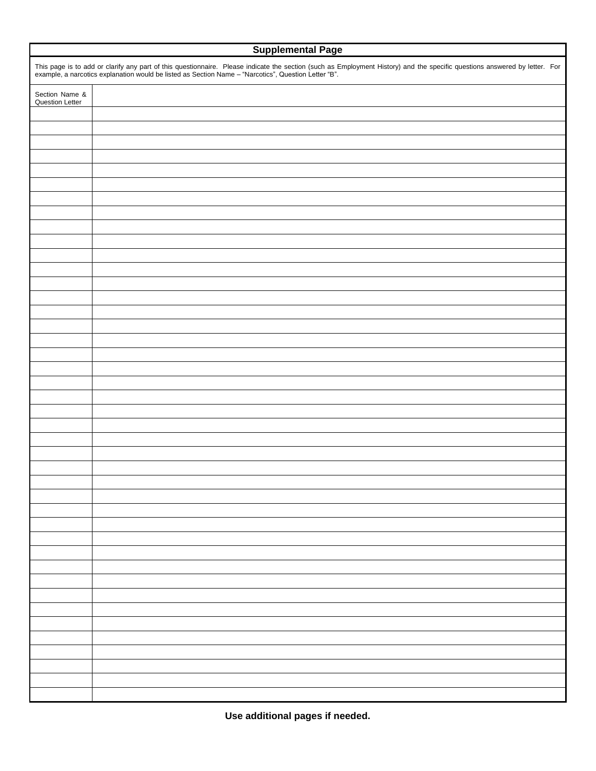| <b>Supplemental Page</b>                                                                                                                                                                                                       |  |  |  |  |  |
|--------------------------------------------------------------------------------------------------------------------------------------------------------------------------------------------------------------------------------|--|--|--|--|--|
| This page is to add or clarify any part of this questionnaire. Please indicate the section (such as Employment History) and the specific questions answered by letter. For example, a narcotics explanation would be listed as |  |  |  |  |  |
| Section Name &<br><b>Question Letter</b>                                                                                                                                                                                       |  |  |  |  |  |
|                                                                                                                                                                                                                                |  |  |  |  |  |
|                                                                                                                                                                                                                                |  |  |  |  |  |
|                                                                                                                                                                                                                                |  |  |  |  |  |
|                                                                                                                                                                                                                                |  |  |  |  |  |
|                                                                                                                                                                                                                                |  |  |  |  |  |
|                                                                                                                                                                                                                                |  |  |  |  |  |
|                                                                                                                                                                                                                                |  |  |  |  |  |
|                                                                                                                                                                                                                                |  |  |  |  |  |
|                                                                                                                                                                                                                                |  |  |  |  |  |
|                                                                                                                                                                                                                                |  |  |  |  |  |
|                                                                                                                                                                                                                                |  |  |  |  |  |
|                                                                                                                                                                                                                                |  |  |  |  |  |
|                                                                                                                                                                                                                                |  |  |  |  |  |
|                                                                                                                                                                                                                                |  |  |  |  |  |
|                                                                                                                                                                                                                                |  |  |  |  |  |
|                                                                                                                                                                                                                                |  |  |  |  |  |
|                                                                                                                                                                                                                                |  |  |  |  |  |
|                                                                                                                                                                                                                                |  |  |  |  |  |
|                                                                                                                                                                                                                                |  |  |  |  |  |
|                                                                                                                                                                                                                                |  |  |  |  |  |
|                                                                                                                                                                                                                                |  |  |  |  |  |
|                                                                                                                                                                                                                                |  |  |  |  |  |
|                                                                                                                                                                                                                                |  |  |  |  |  |
|                                                                                                                                                                                                                                |  |  |  |  |  |
|                                                                                                                                                                                                                                |  |  |  |  |  |
|                                                                                                                                                                                                                                |  |  |  |  |  |
|                                                                                                                                                                                                                                |  |  |  |  |  |
|                                                                                                                                                                                                                                |  |  |  |  |  |
|                                                                                                                                                                                                                                |  |  |  |  |  |
|                                                                                                                                                                                                                                |  |  |  |  |  |
|                                                                                                                                                                                                                                |  |  |  |  |  |
|                                                                                                                                                                                                                                |  |  |  |  |  |
|                                                                                                                                                                                                                                |  |  |  |  |  |
|                                                                                                                                                                                                                                |  |  |  |  |  |
|                                                                                                                                                                                                                                |  |  |  |  |  |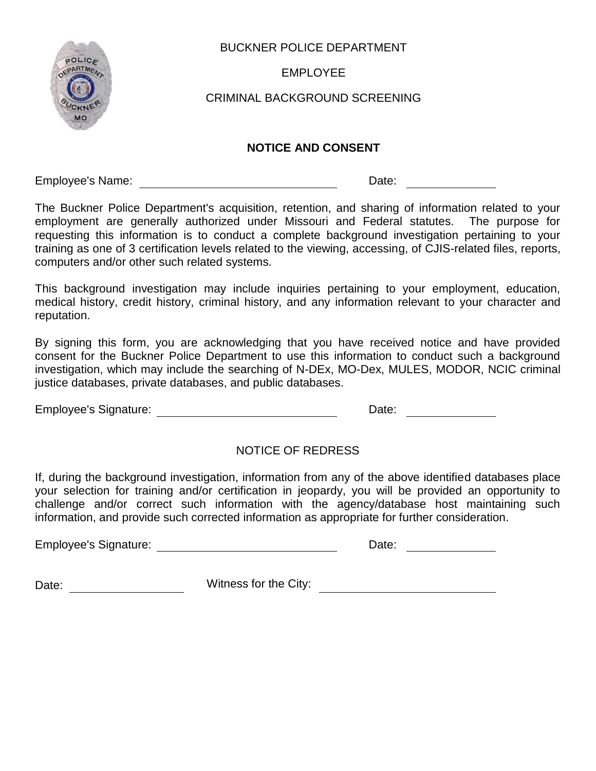

## BUCKNER POLICE DEPARTMENT

EMPLOYEE

# CRIMINAL BACKGROUND SCREENING

### **NOTICE AND CONSENT**

Employee's Name: Date:

The Buckner Police Department's acquisition, retention, and sharing of information related to your employment are generally authorized under Missouri and Federal statutes. The purpose for requesting this information is to conduct a complete background investigation pertaining to your training as one of 3 certification levels related to the viewing, accessing, of CJIS-related files, reports, computers and/or other such related systems.

This background investigation may include inquiries pertaining to your employment, education, medical history, credit history, criminal history, and any information relevant to your character and reputation.

By signing this form, you are acknowledging that you have received notice and have provided consent for the Buckner Police Department to use this information to conduct such a background investigation, which may include the searching of N-DEx, MO-Dex, MULES, MODOR, NCIC criminal justice databases, private databases, and public databases.

Employee's Signature: Date:

# NOTICE OF REDRESS

If, during the background investigation, information from any of the above identified databases place your selection for training and/or certification in jeopardy, you will be provided an opportunity to challenge and/or correct such information with the agency/database host maintaining such information, and provide such corrected information as appropriate for further consideration.

Employee's Signature: The Contract of the Date: Date:

Date: \_\_\_\_\_\_\_\_\_\_\_\_\_\_\_\_\_\_\_\_\_\_\_\_\_\_\_Witness for the City: \_\_\_\_\_\_\_\_\_\_\_\_\_\_\_\_\_\_\_\_\_\_\_\_\_